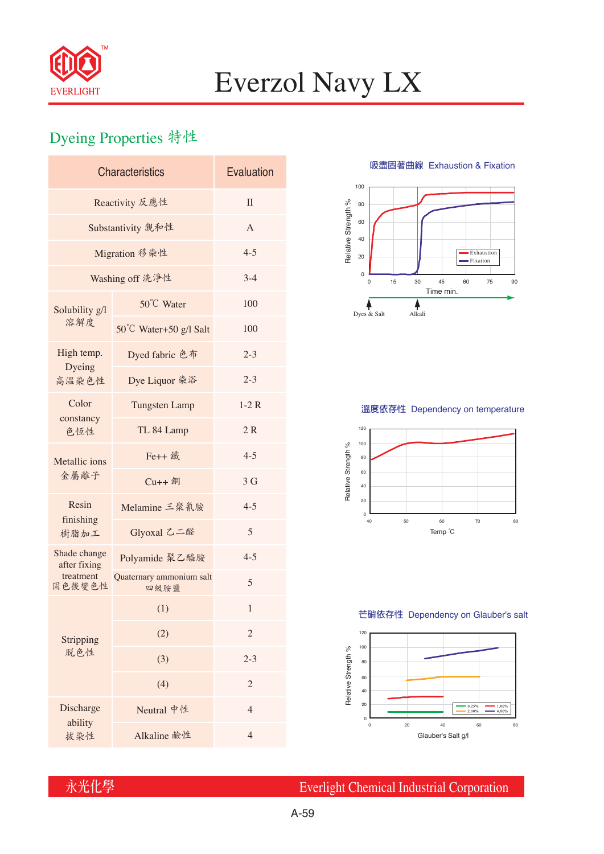

# Everzol Navy LX

## Dyeing Properties 特性

| <b>Characteristics</b>       | Evaluation                       |                |  |  |  |
|------------------------------|----------------------------------|----------------|--|--|--|
| Reactivity 反應性               | $\Pi$                            |                |  |  |  |
| Substantivity 親和性            | $\overline{A}$                   |                |  |  |  |
| Migration 移染性                | $4 - 5$                          |                |  |  |  |
| Washing off 洗淨性              | $3 - 4$                          |                |  |  |  |
| Solubility g/l<br>溶解度        | 50°C Water                       | 100            |  |  |  |
|                              | 50°C Water+50 g/l Salt           | 100            |  |  |  |
| High temp.<br>Dyeing         | Dyed fabric 色布                   | $2 - 3$        |  |  |  |
| 高溫染色性                        | Dye Liquor 染浴                    | $2 - 3$        |  |  |  |
| Color<br>constancy<br>色恆性    | <b>Tungsten Lamp</b>             | $1-2R$         |  |  |  |
|                              | TL 84 Lamp                       | 2R             |  |  |  |
| Metallic ions<br>金屬離子        | Fe++ 鐵                           | $4 - 5$        |  |  |  |
|                              | $Cu++4$                          | 3 <sub>G</sub> |  |  |  |
| Resin                        | Melamine 三聚氰胺                    | $4 - 5$        |  |  |  |
| finishing<br>樹脂加工            | Glyoxal 乙二醛                      | 5              |  |  |  |
| Shade change<br>after fixing | Polyamide 聚乙醯胺                   | $4 - 5$        |  |  |  |
| treatment<br>固色後變色性          | Quaternary ammonium salt<br>四級胺鹽 | 5              |  |  |  |
| Stripping<br>脱色性             | (1)                              | 1              |  |  |  |
|                              | (2)                              | $\overline{c}$ |  |  |  |
|                              | (3)                              | $2 - 3$        |  |  |  |
|                              | (4)                              | $\overline{2}$ |  |  |  |
| Discharge                    | Neutral 中性                       | $\overline{4}$ |  |  |  |
| ability<br>拔染性               | Alkaline 鹼性                      | $\overline{4}$ |  |  |  |

**吸盡固著曲線** Exhaustion & Fixation



### **溫度依存性** Dependency on temperature



#### **芒硝依存性** Dependency on Glauber's salt